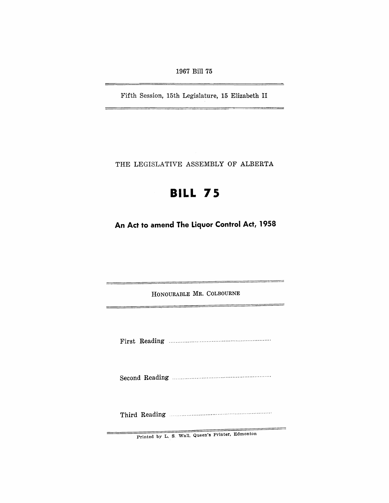1967 Bill 75

Fifth Session, 15th Legislature, 15 Elizabeth II

THE LEGISLATIVE ASSEMBLY OF ALBERTA

# **BILL 75**

**An Act to amend The Liquor Control Act, 1958** 

HONOURABLE MR. COLBOURNE

First Reading ........................................................... .

Second Reading ......................................................... .

Third Reading ...... , .................................................. .

Printed by L. S. Wall. Queen's Printer, Edmonton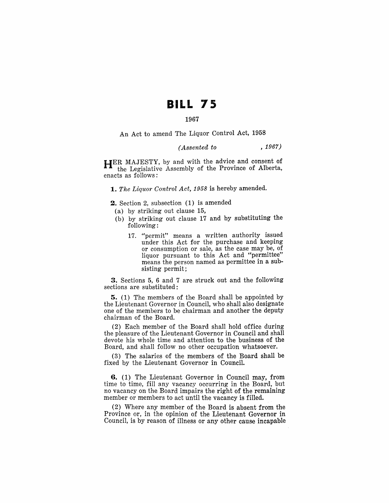## **BILL 75**

## 1967

An Act to amend The Liquor Control Act, 1958

## *(Assented to* , 1967)

HER MAJESTY, by and with the advice and consent of the Legislative Assembly of the Province of Alberta, enacts as follows:

*1. The Liquor Control Act,* 1958 is hereby amended.

2. Section 2, subsection (1) is amended

- (a) by striking out clause 15,
- (b) by striking out clause 17 and by substituting the following:
	- 17. "permit" means a written authority issued under this Act for the purchase and keeping or consumption or sale, as the case may be, of liquor pursuant to this Act and "permittee" means the person named as permittee in a subsisting permit;

3. Sections 5, 6 and 7 are struck out and the following sections are substituted:

5. (1) The members of the Board shall be appointed by the Lieutenant Governor in Council, who shall also designate one of the members to be chairman and another the deputy chairman of the Board.

(2) Each member of the Board shall hold office during the pleasure of the Lieutenant Governor in Council and shall devote his whole time and attention to the business of the Board, and shall follow no other occupation whatsoever.

(3) The salaries of the members of the Board shall be fixed by the Lieutenant Governor in Council.

6. (1) The Lieutenant Governor in Council may, from time to time, fill any vacancy occurring in the Board, but no vacancy on the Board impairs the right of the remaining member or members to act until the vacancy is filled.

(2) Where any member of the Board is absent from the Province or, in the opinion of the Lieutenant Governor in Council, is by reason of illness or any other cause incapable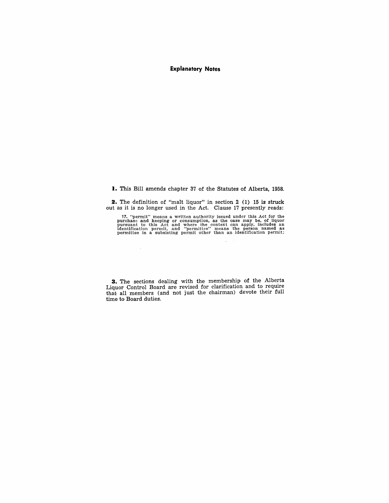### **Explanatory Notes**

1. This Bill amends chapter 37 of the Statutes of Alberta, 1958.

**2.** The definition of "malt liquor" in section 2 (1) 15 is struck out as it is no longer used in the Act. Clause 17 presently reads:

 $\sim$ 

17. "permit" means a written authority issued under this Act for the purchase and keeping or consumption, as the case may be, of liquor pursuant to this Act and where the context can apply, includes an inferentiation perm

**3.** The sections dealing with the membership of the Alberta Liquor Control Board are revised for clarification and to require that all members (and not just the chairman) devote their full time to Board duties.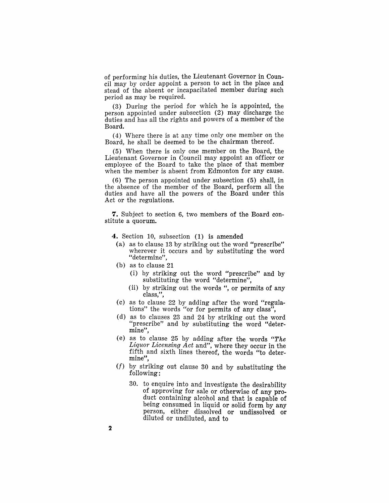of performing his duties, the Lieutenant Governor in Council may by order appoint a person to act in the place and stead of the absent or incapacitated member during such period as may be required.

(3) During the period for which he is appointed, the person appointed under subsection (2) may discharge the duties and has all the rights and powers of a member of the Board.

(4) Where there is at any time only one member on the Board, he shall be deemed to be the chairman thereof.

(5) When there is only one member on the Board, the Lieutenant Governor in Council may appoint an officer or employee of the Board to take the place of that member when the member is absent from Edmonton for any cause.

(6) The person appointed under subsection (5) shall, in the absence of the member of the Board, perform all the duties and have all the powers of the Board under this Act or the regulations.

**7.** Subject to section 6, two members of the Board constitute a quorum.

4. Section 10, subsection (1) is amended

- (a) as to clause 13 by striking out the word "prescribe" wherever it occurs and by substituting the word "determine",
- (b) as to clause 21
	- (i) by striking out the word "prescribe" and by substituting the word "determine",
	- (ii) by striking out the words ", or permits of any class,",
- (c) as to clause 22 by adding after the word "regulations" the words "or for permits of any class",
- (d) as to clauses 23 and 24 by striking out the word "prescribe" and by substituting the word "determine",
- (e) as to clause 25 by adding after the words "The *Liquor Licensing Act* and", where they occur in the fifth and sixth lines thereof, the words "to determine",
- *(I)* by striking out clause 30 and by substituting the following:
	- 30. to enquire into and investigate the desirability of approving for sale or otherwise of any product containing alcohol and that is capable of being consumed in liquid or solid form by any person, either dissolved or undissolved or diluted or undiluted, and to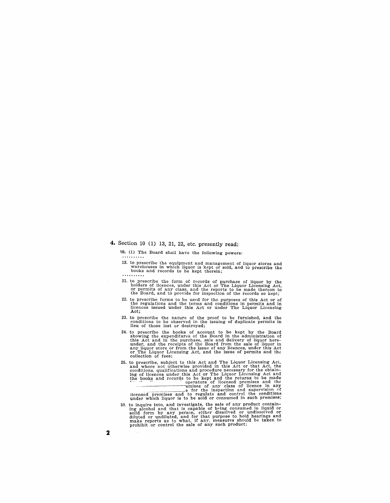## **4.** Section 10 (1) 13, 21, 22, etc. presently read:

10. (1) The Board shall have the following powers:

13. to prescribe the equipment and management of liquor stores and warehouses ,in which liquor is kept or sold, and to prescribe the books and records to be kept therein;

- 21. to prescribe the form of records of purchase of liquor by the holders of licences, under this Act or The Liquor Licensing Act, or permits of any class, and the reports to be made thereon to heal the Board, and to provi
- 22. to prescribe forms to be used for the purposes of this Act or of the regulations and the terms and conditions in permits and in licences issued under this Act or under The Liquor Licensing Act;
- 23. to prescribe the nature of the proof to be furnished, and the conditions to be observed in the issuing of duplicate permits in lieu of those lost or destroyed;
- 24. to prescribe the books of account to be kept by the Board showing the expenditures of the Board in the alministration of this Act and in the purchase, sale and delivery of liquor hereunder, and the receipts of the Boar
- 25. to prescribe, subject to this Act and The Liquor Licensing Act,<br>and where not otherwise provided in this Act or that Act, the<br>conditions, qualifications and procedure necessary for the obtain-<br>ing of licences under thi

30. to inquire into, and investigate, the sale of any product containing alcohol and that is capable of being consumed in liquid or solid form by any person, either dissolved or diluted or diluted or diluted or diluted, an make reports as to what, if any, measures should be taken to prohibit or control the sale of any such product;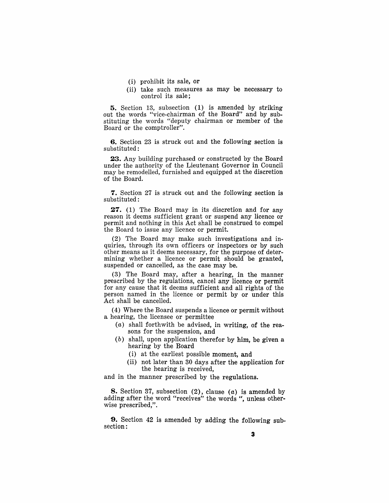- (i) prohibit its sale, or
- (ii) take such measures as may be necessary to control its sale;

5. Section 13, subsection (1) is amended by striking out the words "vice-chairman of the Board" and by substituting the words "deputy chairman or member of the Board or the comptroller".

6. Section 23 is struck out and the following section is substituted:

23. Any building purchased or constructed by the Board under the authority of the Lieutenant Governor in Council may be remodelled, furnished and equipped at the discretion of the Board.

7. Section 27 is struck out and the following section is substituted:

27. (1) The Board may in its discretion and for any reason it deems sufficient grant or suspend any licence or permit and nothing in this Act shall be construed to compel the Board to issue any licence or permit.

(2) The Board may make such investigations and inquiries, through its own officers or inspectors or by such other means as it deems necessary, for the purpose of determining whether a licence or permit should be granted, suspended or cancelled, as the case may be.

(3) The Board may, after a hearing, in the manner prescribed by the regulations, cancel any licence or permit for any cause that it deems sufficient and all rights of the person named in the licence or permit by or under this Act shall be cancelled.

(4) Where the Board suspends a licence or permit without a hearing, the licensee or permittee

- $(a)$  shall forthwith be advised, in writing, of the reasons for the suspension, and
- (b) shall, upon application therefor by him, be given a hearing by the Board
	- (i) at the earliest possible moment, and
	- (ii) not later than 30 days after the application for the hearing is received,

and in the manner prescribed by the regulations.

8. Section 37, subsection (2), clause (a) is amended by adding after the word "receives" the words ", unless otherwise prescribed,".

9. Section 42 is amended by adding the following subsection: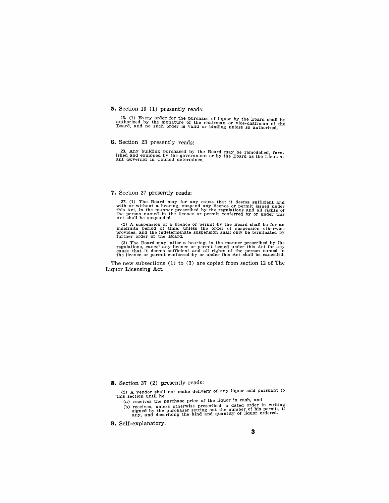#### **5.** Section 13 (1) presently reads:

13. (1) Every order for the purchase of liquor by the Board shall be authorized by the signature of the chairman or vice-chairman of the Board, and no such order is valid or binding unless so authorized.

#### **6.** Section 23 presently reads:

23. Any building purchased by the Board may be remodelled, furn-ished and equipped by the government or by the Board as the Lieuten- ant Governor in Council determines.

#### **7.** Section 27 presently reads:

27. (1) The Board may for any cause that it deems sufficient and with or without a hearing, suspend any licence or permit issued under this Act, in the manner prescribed by the regulations and all rights of the person name Act shall be suspended.

 $(2)$  A suspension of a licence or permit by the Board shall be for an indefinite period of time, unless the order of suspension otherwise provides, and the indeterminate suspension shall only be terminated by further order of the Board.

(3) The Board may, after a hearing, in the manner prescribed by the regulations, cancel any licence or permit issued under this Act for any surficient and all rights of the person named in the licence or permit conferred b

The new subsections (1) to (3) are copied from section 12 of The Liquor Licensing Act.

**8.** Section 37 (2) presently reads:

(2) A vendor shall not make delivery of any liquor sold pursuant to this section until he

- (a) receives the purchase price of the liquor in cash, and
- (b) receives, unless otherwise prescribed, a dated order in writing signed by the purchaser setting out the number of his permit, if any, and describing the kind and quantity of liquor ordered.

**9.** Self-explanatory.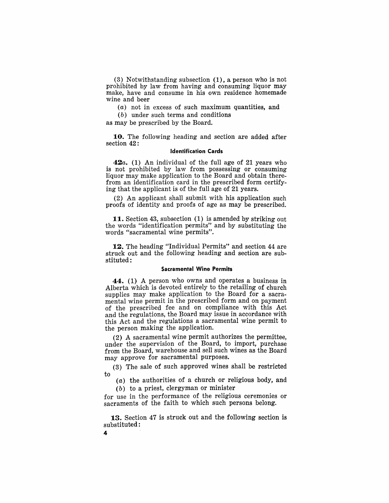(3) Notwithstanding subsection (1), a person who is not prohibited by law from having and consuming liquor may make, have and consume in his own residence homemade wine and beer

 $(a)$  not in excess of such maximum quantities, and

(b) under such terms and conditions

as may be prescribed. by the Board.

10. The following heading and section are added after section 42:

#### Identification Cards

*42a.* (1) An individual of the full age of 21 years who is not prohibited by law from possessing or consuming liquor may make application to the Board and obtain therefrom an identification card in the prescribed form certifying that the applicant is of the full age of 21 years.

(2) An applicant shall submit with his application such proofs of identity and proofs of age as may be prescribed.

11. Section 43, subsection (1) is amended by striking out the words "identification permits" and by substituting the words "sacramental wine permits".

12. The heading "Individual Permits" and section 44 are struck out and the following heading and section are substituted:

#### Sacramental Wine Permits

44. (1) A person who owns and operates a business in Alberta which is devoted entirely to the retailing of church supplies may make application to the Board for a sacramental wine permit in the prescribed form and on payment of the prescribed fee and on compliance with this Act and the regulations, the Board may issue in accordance with this Act and the regulations a sacramental wine permit to the person making the application.

(2) A sacramental wine permit authorizes the permittee, under the supervision of the Board, to import, purchase from the Board, warehouse and sell such wines as the Board may approve for sacramental purposes.

(3) The sale of such approved wines shall be restricted to

 $(a)$  the authorities of a church or religious body, and (b) to a priest, clergyman or minister

for use in the performance of the religious ceremonies or sacraments of the faith to which such persons belong.

13. Section 47 is struck out and the following section is substituted:

4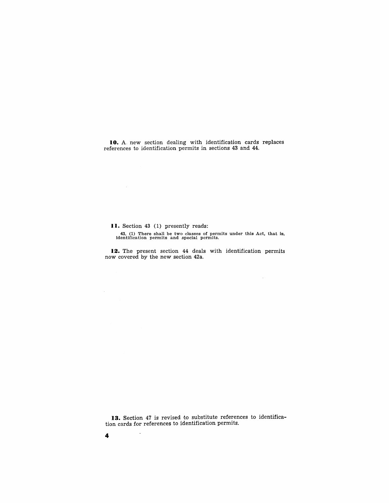**10.** A. new section dealing with identification cards replaces references to identification permits in sections 43 and 44.

**II.** Section 43 (1) presently reads:

43. (1) There shall be two classes of permits under this Act, that is, identification permits and special permits.

 $\sim 10^{-11}$ 

12. The present section 44 deals with identification permits now covered by the new section 42a.

13. Section 47 is revised to substitute references to identification cards for references to identification permits.

4

 $\overline{\phantom{a}}$ 

 $\sim 10^7$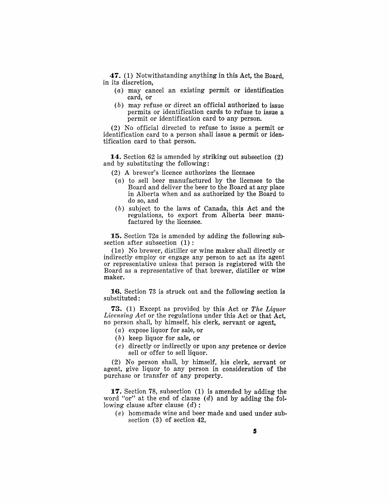47. (1) Notwithstanding anything in this Act, the Board, in its discretion,

- (a) may cancel an existing permit or identification card, or
- (b) may refuse or direct an official authorized to issue permits or identification cards to refuse to issue a permit or identification card to any person.

(2) No official directed to refuse to issue a permit or identification card to a person shall issue a permit or identification card to that person.

14. Section 62 is amended by striking out subsection (2) and by substituting the following:

- (2) A brewer's licence authorizes the licensee
- (a) to sell beer manufactured by the licensee to the Board and deliver the beer to the Board at any place in Alberta when and as authorized by the Board to do so, and
- (b) subject to the laws of Canada, this Act and the regulations, to export from Alberta beer manufactured by the licensee.

15. Section *72a* is amended by adding the following subsection after subsection  $(1)$ :

 $(1a)$  No brewer, distiller or wine maker shall directly or indirectly employ or engage any person to act as its agent or representative unless that person is registered with the Board as a representative of that brewer, distiller or wine maker.

16. Section 73 is struck out and the following section is substituted:

73. (1) Except as provided by this Act or *The Liquor Licensing Act* or the regulations under this Act or that Act, no person shall, by himself, his clerk, servant or agent,

- (a) expose liquor for sale, or
- $(b)$  keep liquor for sale, or
- (c) directly or indirectly or upon any pretence or device sell or offer to sell liquor.

(2) No person shall, by himself, his clerk, servant or agent, give liquor to any person in consideration of the purchase or transfer of any property.

**17.** Section 78, subsection (1) is amended by adding the word "or" at the end of clause  $(d)$  and by adding the following clause after clause  $(d)$ :

(e) homemade wine and beer made and used under subsection (3) of section 42,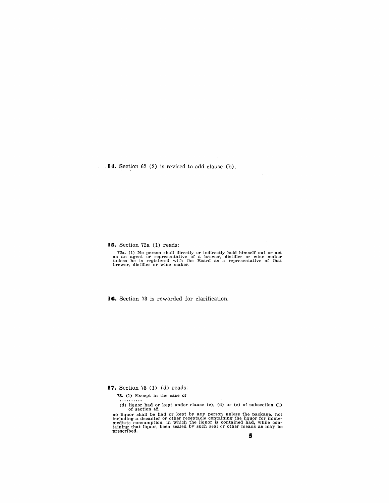**14.** Section 62 (2) is revised to add clause (b).

**15.** Section 72a (1) reads:

72a. (1) No person shall directly or indirectly hold himself out or act as an agent or representative of a brewer, distiller or wine maker unless he is registered with the Board as a representative of that brewer, distille

**16.** Section 73 is reworded for clarification.

**17.** Section 78 (1) (d) reads:

78. (1) Except in the case of

(d) liquor had or kept under clause (c), (d) or (e) of subsection  $(1)$  of section  $42$ , no liquor shall be had or kept by any person unless the package, not including a decanter or other receptacle containing the liquor for immemediate consumption, in which the liquor is contained had, while con- taining that liquor, been sealed by such seal or other means as may be prescribed.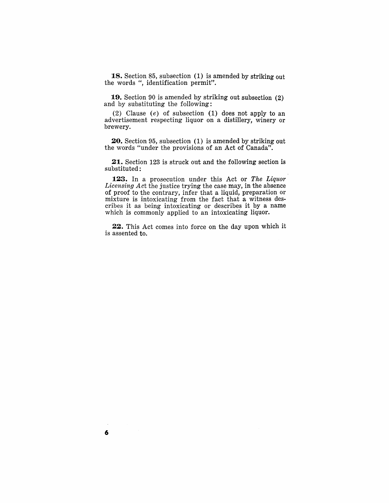**18.** Section 85, subsection (1) is amended by striking out the words ", identification permit".

**19.** Section 90 is amended by striking out subsection (2) and by substituting the following:

(2) Clause  $(e)$  of subsection (1) does not apply to an advertisement respecting liquor on a distillery, winery or brewery.

**20.** Section 95, subsection (1) is amended by striking out the words "under the provisions of an Act of Canada".

**21.** Section 123 is struck out and the following section is substituted:

**123.** In a prosecution under this Act or *The Liquor Licensing Act* the justice trying the case may, in the absence of proof to the contrary, infer that a liquid, preparation or mixture is intoxicating from the fact that a witness describes it as being intoxicating or describes it by a name which is commonly applied to an intoxicating liquor.

**22.** This Act comes into force on the day upon which it is assented to.